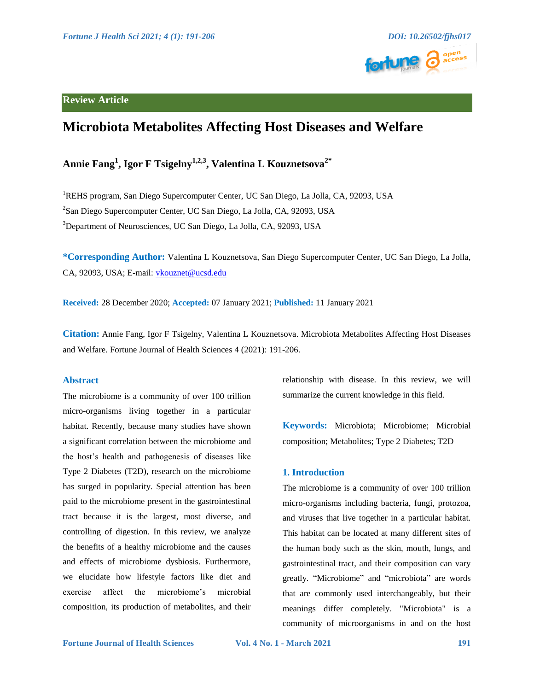

## **Review Article**

# **Microbiota Metabolites Affecting Host Diseases and Welfare**

## **Annie Fang<sup>1</sup> , Igor F Tsigelny1,2,3, Valentina L Kouznetsova2\***

<sup>1</sup>REHS program, San Diego Supercomputer Center, UC San Diego, La Jolla, CA, 92093, USA 2 San Diego Supercomputer Center, UC San Diego, La Jolla, CA, 92093, USA 3 Department of Neurosciences, UC San Diego, La Jolla, CA, 92093, USA

**\*Corresponding Author:** Valentina L Kouznetsova, San Diego Supercomputer Center, UC San Diego, La Jolla, CA, 92093, USA; E-mail: vkouznet@ucsd.edu

**Received:** 28 December 2020; **Accepted:** 07 January 2021; **Published:** 11 January 2021

**Citation:** Annie Fang, Igor F Tsigelny, Valentina L Kouznetsova. Microbiota Metabolites Affecting Host Diseases and Welfare. Fortune Journal of Health Sciences 4 (2021): 191-206.

### **Abstract**

The microbiome is a community of over 100 trillion micro-organisms living together in a particular habitat. Recently, because many studies have shown a significant correlation between the microbiome and the host's health and pathogenesis of diseases like Type 2 Diabetes (T2D), research on the microbiome has surged in popularity. Special attention has been paid to the microbiome present in the gastrointestinal tract because it is the largest, most diverse, and controlling of digestion. In this review, we analyze the benefits of a healthy microbiome and the causes and effects of microbiome dysbiosis. Furthermore, we elucidate how lifestyle factors like diet and exercise affect the microbiome's microbial composition, its production of metabolites, and their relationship with disease. In this review, we will summarize the current knowledge in this field.

**Keywords:** Microbiota; Microbiome; Microbial composition; Metabolites; Type 2 Diabetes; T2D

### **1. Introduction**

The microbiome is a community of over 100 trillion micro-organisms including bacteria, fungi, protozoa, and viruses that live together in a particular habitat. This habitat can be located at many different sites of the human body such as the skin, mouth, lungs, and gastrointestinal tract, and their composition can vary greatly. "Microbiome" and "microbiota" are words that are commonly used interchangeably, but their meanings differ completely. "Microbiota" is a community of microorganisms in and on the host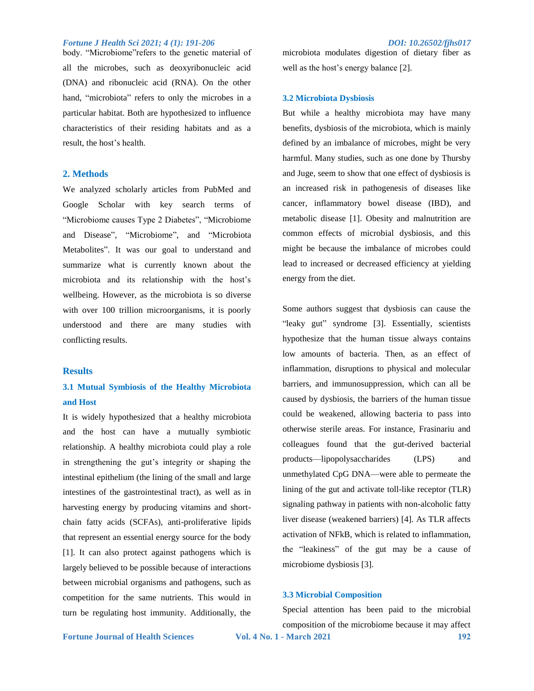body. "Microbiome" refers to the genetic material of all the microbes, such as deoxyribonucleic acid (DNA) and ribonucleic acid (RNA). On the other hand, "microbiota" refers to only the microbes in a particular habitat. Both are hypothesized to influence characteristics of their residing habitats and as a result, the host's health.

### **2. Methods**

We analyzed scholarly articles from PubMed and Google Scholar with key search terms of "Microbiome causes Type 2 Diabetes", "Microbiome and Disease", "Microbiome", and "Microbiota Metabolites". It was our goal to understand and summarize what is currently known about the microbiota and its relationship with the host's wellbeing. However, as the microbiota is so diverse with over 100 trillion microorganisms, it is poorly understood and there are many studies with conflicting results.

### **Results**

## **3.1 Mutual Symbiosis of the Healthy Microbiota and Host**

It is widely hypothesized that a healthy microbiota and the host can have a mutually symbiotic relationship. A healthy microbiota could play a role in strengthening the gut's integrity or shaping the intestinal epithelium (the lining of the small and large intestines of the gastrointestinal tract), as well as in harvesting energy by producing vitamins and shortchain fatty acids (SCFAs), anti-proliferative lipids that represent an essential energy source for the body [1]. It can also protect against pathogens which is largely believed to be possible because of interactions between microbial organisms and pathogens, such as competition for the same nutrients. This would in turn be regulating host immunity. Additionally, the

microbiota modulates digestion of dietary fiber as well as the host's energy balance [2].

### **3.2 Microbiota Dysbiosis**

But while a healthy microbiota may have many benefits, dysbiosis of the microbiota, which is mainly defined by an imbalance of microbes, might be very harmful. Many studies, such as one done by Thursby and Juge, seem to show that one effect of dysbiosis is an increased risk in pathogenesis of diseases like cancer, inflammatory bowel disease (IBD), and metabolic disease [1]. Obesity and malnutrition are common effects of microbial dysbiosis, and this might be because the imbalance of microbes could lead to increased or decreased efficiency at yielding energy from the diet.

Some authors suggest that dysbiosis can cause the "leaky gut" syndrome [3]. Essentially, scientists hypothesize that the human tissue always contains low amounts of bacteria. Then, as an effect of inflammation, disruptions to physical and molecular barriers, and immunosuppression, which can all be caused by dysbiosis, the barriers of the human tissue could be weakened, allowing bacteria to pass into otherwise sterile areas. For instance, Frasinariu and colleagues found that the gut-derived bacterial products—lipopolysaccharides (LPS) and unmethylated CpG DNA—were able to permeate the lining of the gut and activate toll-like receptor (TLR) signaling pathway in patients with non-alcoholic fatty liver disease (weakened barriers) [4]. As TLR affects activation of NFkB, which is related to inflammation, the "leakiness" of the gut may be a cause of microbiome dysbiosis [3].

### **3.3 Microbial Composition**

**Fortune Journal of Health Sciences Vol. 4 No. 1 - March 2021 192** Special attention has been paid to the microbial composition of the microbiome because it may affect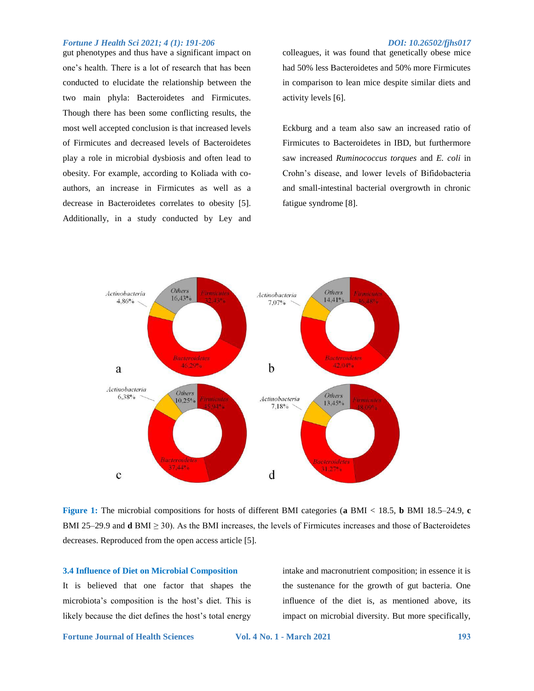gut phenotypes and thus have a significant impact on one's health. There is a lot of research that has been conducted to elucidate the relationship between the two main phyla: Bacteroidetes and Firmicutes. Though there has been some conflicting results, the most well accepted conclusion is that increased levels of Firmicutes and decreased levels of Bacteroidetes play a role in microbial dysbiosis and often lead to obesity. For example, according to Koliada with coauthors, an increase in Firmicutes as well as a decrease in Bacteroidetes correlates to obesity [5]. Additionally, in a study conducted by Ley and

colleagues, it was found that genetically obese mice had 50% less Bacteroidetes and 50% more Firmicutes in comparison to lean mice despite similar diets and activity levels [6].

Eckburg and a team also saw an increased ratio of Firmicutes to Bacteroidetes in IBD, but furthermore saw increased *Ruminococcus torques* and *E. coli* in Crohn's disease, and lower levels of Bifidobacteria and small-intestinal bacterial overgrowth in chronic fatigue syndrome [8].



**Figure 1:** The microbial compositions for hosts of different BMI categories (**a** BMI < 18.5, **b** BMI 18.5–24.9, **c**  BMI 25–29.9 and **d** BMI  $\geq$  30). As the BMI increases, the levels of Firmicutes increases and those of Bacteroidetes decreases. Reproduced from the open access article [5].

### **3.4 Influence of Diet on Microbial Composition**

It is believed that one factor that shapes the microbiota's composition is the host's diet. This is likely because the diet defines the host's total energy

intake and macronutrient composition; in essence it is the sustenance for the growth of gut bacteria. One influence of the diet is, as mentioned above, its impact on microbial diversity. But more specifically,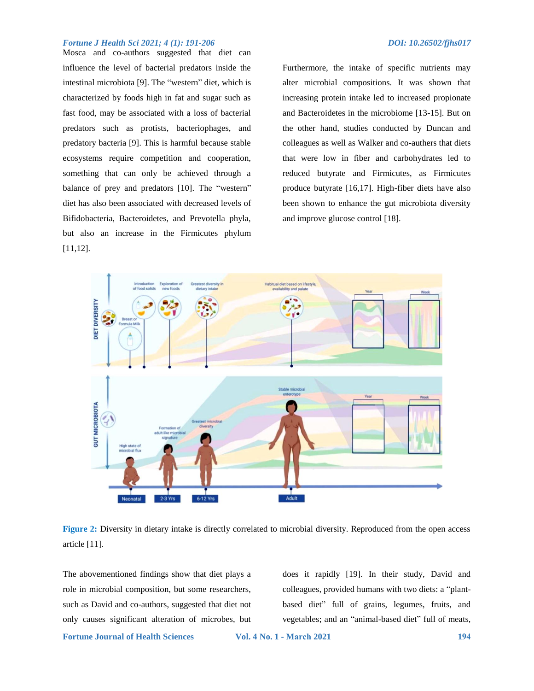Mosca and co-authors suggested that diet can influence the level of bacterial predators inside the intestinal microbiota [9]. The "western" diet, which is characterized by foods high in fat and sugar such as fast food, may be associated with a loss of bacterial predators such as protists, bacteriophages, and predatory bacteria [9]. This is harmful because stable ecosystems require competition and cooperation, something that can only be achieved through a balance of prey and predators [10]. The "western" diet has also been associated with decreased levels of Bifidobacteria, Bacteroidetes, and Prevotella phyla, but also an increase in the Firmicutes phylum [11,12].

Furthermore, the intake of specific nutrients may alter microbial compositions. It was shown that increasing protein intake led to increased propionate and Bacteroidetes in the microbiome [13-15]. But on the other hand, studies conducted by Duncan and colleagues as well as Walker and co-authers that diets that were low in fiber and carbohydrates led to reduced butyrate and Firmicutes, as Firmicutes produce butyrate [16,17]. High-fiber diets have also been shown to enhance the gut microbiota diversity and improve glucose control [18].





The abovementioned findings show that diet plays a role in microbial composition, but some researchers, such as David and co-authors, suggested that diet not only causes significant alteration of microbes, but

does it rapidly [19]. In their study, David and colleagues, provided humans with two diets: a "plantbased diet" full of grains, legumes, fruits, and vegetables; and an "animal-based diet" full of meats,

**Fortune Journal of Health Sciences Vol. 4 No. 1 - March 2021 194**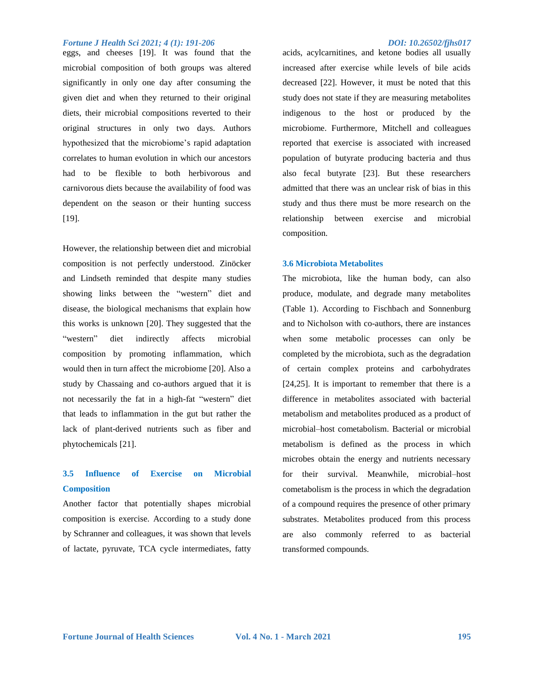eggs, and cheeses [19]. It was found that the microbial composition of both groups was altered significantly in only one day after consuming the given diet and when they returned to their original diets, their microbial compositions reverted to their original structures in only two days. Authors hypothesized that the microbiome's rapid adaptation correlates to human evolution in which our ancestors had to be flexible to both herbivorous and carnivorous diets because the availability of food was dependent on the season or their hunting success [19].

However, the relationship between diet and microbial composition is not perfectly understood. Zinöcker and Lindseth reminded that despite many studies showing links between the "western" diet and disease, the biological mechanisms that explain how this works is unknown [20]. They suggested that the "western" diet indirectly affects microbial composition by promoting inflammation, which would then in turn affect the microbiome [20]. Also a study by Chassaing and co-authors argued that it is not necessarily the fat in a high-fat "western" diet that leads to inflammation in the gut but rather the lack of plant-derived nutrients such as fiber and phytochemicals [21].

## **3.5 Influence of Exercise on Microbial Composition**

Another factor that potentially shapes microbial composition is exercise. According to a study done by Schranner and colleagues, it was shown that levels of lactate, pyruvate, TCA cycle intermediates, fatty

acids, acylcarnitines, and ketone bodies all usually increased after exercise while levels of bile acids decreased [22]. However, it must be noted that this study does not state if they are measuring metabolites indigenous to the host or produced by the microbiome. Furthermore, Mitchell and colleagues reported that exercise is associated with increased population of butyrate producing bacteria and thus also fecal butyrate [23]. But these researchers admitted that there was an unclear risk of bias in this study and thus there must be more research on the relationship between exercise and microbial composition.

### **3.6 Microbiota Metabolites**

The microbiota, like the human body, can also produce, modulate, and degrade many metabolites (Table 1). According to Fischbach and Sonnenburg and to Nicholson with co-authors, there are instances when some metabolic processes can only be completed by the microbiota, such as the degradation of certain complex proteins and carbohydrates [24,25]. It is important to remember that there is a difference in metabolites associated with bacterial metabolism and metabolites produced as a product of microbial–host cometabolism. Bacterial or microbial metabolism is defined as the process in which microbes obtain the energy and nutrients necessary for their survival. Meanwhile, microbial–host cometabolism is the process in which the degradation of a compound requires the presence of other primary substrates. Metabolites produced from this process are also commonly referred to as bacterial transformed compounds.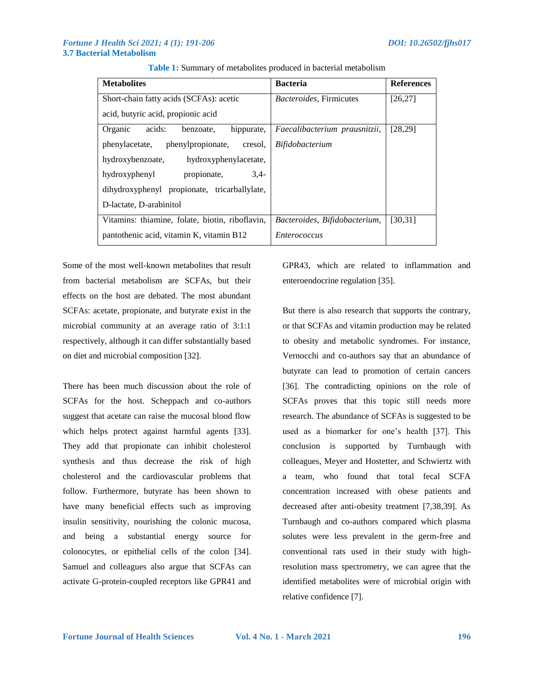| <b>Metabolites</b>                              | <b>Bacteria</b>                 | <b>References</b> |
|-------------------------------------------------|---------------------------------|-------------------|
| Short-chain fatty acids (SCFAs): acetic         | <i>Bacteroides</i> , Firmicutes | [26, 27]          |
| acid, butyric acid, propionic acid              |                                 |                   |
| acids:<br>Organic<br>hippurate,<br>benzoate,    | Faecalibacterium prausnitzii,   | [28, 29]          |
| phenylpropionate, cresol,<br>phenylacetate,     | <i>Bifidobacterium</i>          |                   |
| hydroxybenzoate,<br>hydroxyphenylacetate,       |                                 |                   |
| hydroxyphenyl<br>$3.4-$<br>propionate,          |                                 |                   |
| dihydroxyphenyl propionate, tricarballylate,    |                                 |                   |
| D-lactate, D-arabinitol                         |                                 |                   |
| Vitamins: thiamine, folate, biotin, riboflavin, | Bacteroides, Bifidobacterium,   | [30, 31]          |
| pantothenic acid, vitamin K, vitamin B12        | <i>Enterococcus</i>             |                   |

**Table 1:** Summary of metabolites produced in bacterial metabolism

Some of the most well-known metabolites that result from bacterial metabolism are SCFAs, but their effects on the host are debated. The most abundant SCFAs: acetate, propionate, and butyrate exist in the microbial community at an average ratio of 3:1:1 respectively, although it can differ substantially based on diet and microbial composition [32].

There has been much discussion about the role of SCFAs for the host. Scheppach and co-authors suggest that acetate can raise the mucosal blood flow which helps protect against harmful agents [33]. They add that propionate can inhibit cholesterol synthesis and thus decrease the risk of high cholesterol and the cardiovascular problems that follow. Furthermore, butyrate has been shown to have many beneficial effects such as improving insulin sensitivity, nourishing the colonic mucosa, and being a substantial energy source for colonocytes, or epithelial cells of the colon [34]. Samuel and colleagues also argue that SCFAs can activate G-protein-coupled receptors like GPR41 and GPR43, which are related to inflammation and enteroendocrine regulation [35].

But there is also research that supports the contrary, or that SCFAs and vitamin production may be related to obesity and metabolic syndromes. For instance, Vernocchi and co-authors say that an abundance of butyrate can lead to promotion of certain cancers [36]. The contradicting opinions on the role of SCFAs proves that this topic still needs more research. The abundance of SCFAs is suggested to be used as a biomarker for one's health [37]. This conclusion is supported by Turnbaugh with colleagues, Meyer and Hostetter, and Schwiertz with a team, who found that total fecal SCFA concentration increased with obese patients and decreased after anti-obesity treatment [7,38,39]. As Turnbaugh and co-authors compared which plasma solutes were less prevalent in the germ-free and conventional rats used in their study with highresolution mass spectrometry, we can agree that the identified metabolites were of microbial origin with relative confidence [7].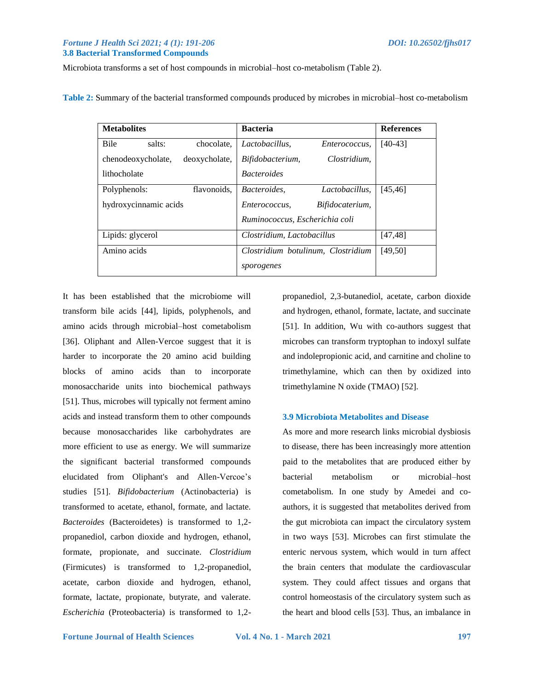### *Fortune J Health Sci 2021; 4 (1): 191-206 DOI: 10.26502/fjhs017*  **3.8 Bacterial Transformed Compounds**

Microbiota transforms a set of host compounds in microbial–host co-metabolism (Table 2).

**Table 2:** Summary of the bacterial transformed compounds produced by microbes in microbial–host co-metabolism

| <b>Metabolites</b>    |                            |                                    | <b>Bacteria</b>                |                      | <b>References</b> |
|-----------------------|----------------------------|------------------------------------|--------------------------------|----------------------|-------------------|
| <b>Bile</b>           | salts:                     | chocolate,                         | Lactobacillus.                 | <i>Enterococcus,</i> | $[40-43]$         |
| chenodeoxycholate,    |                            | deoxycholate,                      | Bifidobacterium,               | Clostridium.         |                   |
| lithocholate          |                            |                                    | <b>Bacteroides</b>             |                      |                   |
| Polyphenols:          |                            | flavonoids,                        | <i>Bacteroides.</i>            | Lactobacillus.       | [45, 46]          |
| hydroxycinnamic acids |                            | Enterococcus.                      | Bifidocaterium,                |                      |                   |
|                       |                            |                                    | Ruminococcus, Escherichia coli |                      |                   |
| Lipids: glycerol      | Clostridium, Lactobacillus |                                    | [47, 48]                       |                      |                   |
| Amino acids           |                            | Clostridium botulinum, Clostridium |                                | [49, 50]             |                   |
|                       |                            |                                    | sporogenes                     |                      |                   |

It has been established that the microbiome will transform bile acids [44], lipids, polyphenols, and amino acids through microbial–host cometabolism [36]. Oliphant and Allen-Vercoe suggest that it is harder to incorporate the 20 amino acid building blocks of amino acids than to incorporate monosaccharide units into biochemical pathways [51]. Thus, microbes will typically not ferment amino acids and instead transform them to other compounds because monosaccharides like carbohydrates are more efficient to use as energy. We will summarize the significant bacterial transformed compounds elucidated from Oliphant's and Allen-Vercoe's studies [51]. *Bifidobacterium* (Actinobacteria) is transformed to acetate, ethanol, formate, and lactate. *Bacteroides* (Bacteroidetes) is transformed to 1,2 propanediol, carbon dioxide and hydrogen, ethanol, formate, propionate, and succinate. *Clostridium* (Firmicutes) is transformed to 1,2-propanediol, acetate, carbon dioxide and hydrogen, ethanol, formate, lactate, propionate, butyrate, and valerate. *Escherichia* (Proteobacteria) is transformed to 1,2propanediol, 2,3-butanediol, acetate, carbon dioxide and hydrogen, ethanol, formate, lactate, and succinate [51]. In addition, Wu with co-authors suggest that microbes can transform tryptophan to indoxyl sulfate and indolepropionic acid, and carnitine and choline to trimethylamine, which can then by oxidized into trimethylamine N oxide (TMAO) [52].

### **3.9 Microbiota Metabolites and Disease**

As more and more research links microbial dysbiosis to disease, there has been increasingly more attention paid to the metabolites that are produced either by bacterial metabolism or microbial–host cometabolism. In one study by Amedei and coauthors, it is suggested that metabolites derived from the gut microbiota can impact the circulatory system in two ways [53]. Microbes can first stimulate the enteric nervous system, which would in turn affect the brain centers that modulate the cardiovascular system. They could affect tissues and organs that control homeostasis of the circulatory system such as the heart and blood cells [53]. Thus, an imbalance in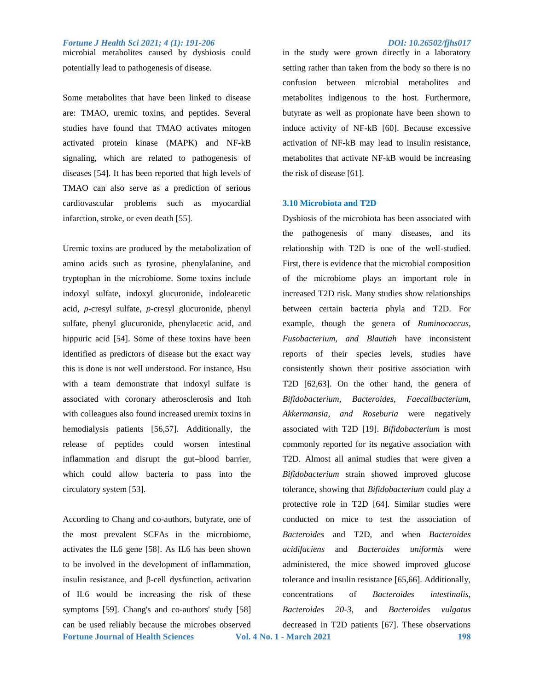microbial metabolites caused by dysbiosis could potentially lead to pathogenesis of disease.

Some metabolites that have been linked to disease are: TMAO, uremic toxins, and peptides. Several studies have found that TMAO activates mitogen activated protein kinase (MAPK) and NF-kB signaling, which are related to pathogenesis of diseases [54]. It has been reported that high levels of TMAO can also serve as a prediction of serious cardiovascular problems such as myocardial infarction, stroke, or even death [55].

Uremic toxins are produced by the metabolization of amino acids such as tyrosine, phenylalanine, and tryptophan in the microbiome. Some toxins include indoxyl sulfate, indoxyl glucuronide, indoleacetic acid, *p*-cresyl sulfate, *p*-cresyl glucuronide, phenyl sulfate, phenyl glucuronide, phenylacetic acid, and hippuric acid [54]. Some of these toxins have been identified as predictors of disease but the exact way this is done is not well understood. For instance, Hsu with a team demonstrate that indoxyl sulfate is associated with coronary atherosclerosis and Itoh with colleagues also found increased uremix toxins in hemodialysis patients [56,57]. Additionally, the release of peptides could worsen intestinal inflammation and disrupt the gut–blood barrier, which could allow bacteria to pass into the circulatory system [53].

**Fortune Journal of Health Sciences Vol. 4 No. 1 - March 2021 198** According to Chang and co-authors, butyrate, one of the most prevalent SCFAs in the microbiome, activates the IL6 gene [58]. As IL6 has been shown to be involved in the development of inflammation, insulin resistance, and β-cell dysfunction, activation of IL6 would be increasing the risk of these symptoms [59]. Chang's and co-authors' study [58] can be used reliably because the microbes observed

in the study were grown directly in a laboratory setting rather than taken from the body so there is no confusion between microbial metabolites and metabolites indigenous to the host. Furthermore, butyrate as well as propionate have been shown to induce activity of NF-kB [60]. Because excessive activation of NF-kB may lead to insulin resistance, metabolites that activate NF-kB would be increasing the risk of disease [61].

### **3.10 Microbiota and T2D**

Dysbiosis of the microbiota has been associated with the pathogenesis of many diseases, and its relationship with T2D is one of the well-studied. First, there is evidence that the microbial composition of the microbiome plays an important role in increased T2D risk. Many studies show relationships between certain bacteria phyla and T2D. For example, though the genera of *Ruminococcus, Fusobacterium, and Blautiah* have inconsistent reports of their species levels, studies have consistently shown their positive association with T2D [62,63]. On the other hand, the genera of *Bifidobacterium, Bacteroides, Faecalibacterium, Akkermansia, and Roseburia* were negatively associated with T2D [19]. *Bifidobacterium* is most commonly reported for its negative association with T2D. Almost all animal studies that were given a *Bifidobacterium* strain showed improved glucose tolerance, showing that *Bifidobacterium* could play a protective role in T2D [64]. Similar studies were conducted on mice to test the association of *Bacteroides* and T2D, and when *Bacteroides acidifaciens* and *Bacteroides uniformis* were administered, the mice showed improved glucose tolerance and insulin resistance [65,66]. Additionally, concentrations of *Bacteroides intestinalis*, *Bacteroides 20-3,* and *Bacteroides vulgatus* decreased in T2D patients [67]. These observations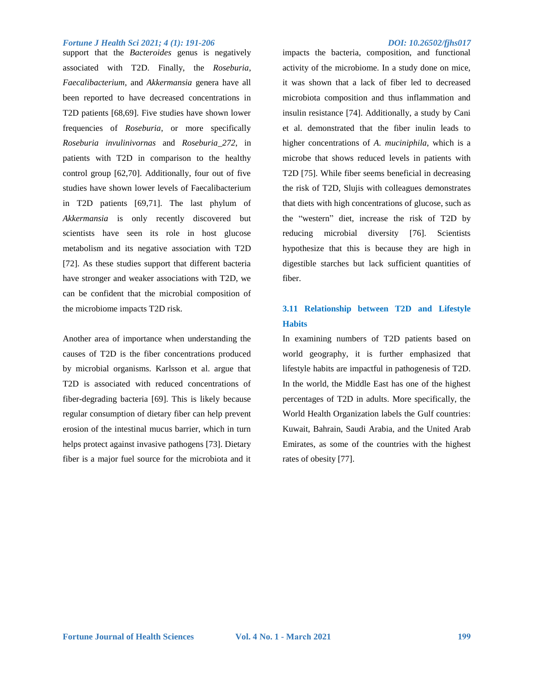support that the *Bacteroides* genus is negatively associated with T2D. Finally, the *Roseburia*, *Faecalibacterium*, and *Akkermansia* genera have all been reported to have decreased concentrations in T2D patients [68,69]. Five studies have shown lower frequencies of *Roseburia*, or more specifically *Roseburia invulinivornas* and *Roseburia\_272*, in patients with T2D in comparison to the healthy control group [62,70]. Additionally, four out of five studies have shown lower levels of Faecalibacterium in T2D patients [69,71]. The last phylum of *Akkermansia* is only recently discovered but scientists have seen its role in host glucose metabolism and its negative association with T2D [72]. As these studies support that different bacteria have stronger and weaker associations with T2D, we can be confident that the microbial composition of the microbiome impacts T2D risk.

Another area of importance when understanding the causes of T2D is the fiber concentrations produced by microbial organisms. Karlsson et al. argue that T2D is associated with reduced concentrations of fiber-degrading bacteria [69]. This is likely because regular consumption of dietary fiber can help prevent erosion of the intestinal mucus barrier, which in turn helps protect against invasive pathogens [73]. Dietary fiber is a major fuel source for the microbiota and it

impacts the bacteria, composition, and functional activity of the microbiome. In a study done on mice, it was shown that a lack of fiber led to decreased microbiota composition and thus inflammation and insulin resistance [74]. Additionally, a study by Cani et al. demonstrated that the fiber inulin leads to higher concentrations of *A. muciniphila*, which is a microbe that shows reduced levels in patients with T2D [75]. While fiber seems beneficial in decreasing the risk of T2D, Slujis with colleagues demonstrates that diets with high concentrations of glucose, such as the "western" diet, increase the risk of T2D by reducing microbial diversity [76]. Scientists hypothesize that this is because they are high in digestible starches but lack sufficient quantities of fiber.

## **3.11 Relationship between T2D and Lifestyle Habits**

In examining numbers of T2D patients based on world geography, it is further emphasized that lifestyle habits are impactful in pathogenesis of T2D. In the world, the Middle East has one of the highest percentages of T2D in adults. More specifically, the World Health Organization labels the Gulf countries: Kuwait, Bahrain, Saudi Arabia, and the United Arab Emirates, as some of the countries with the highest rates of obesity [77].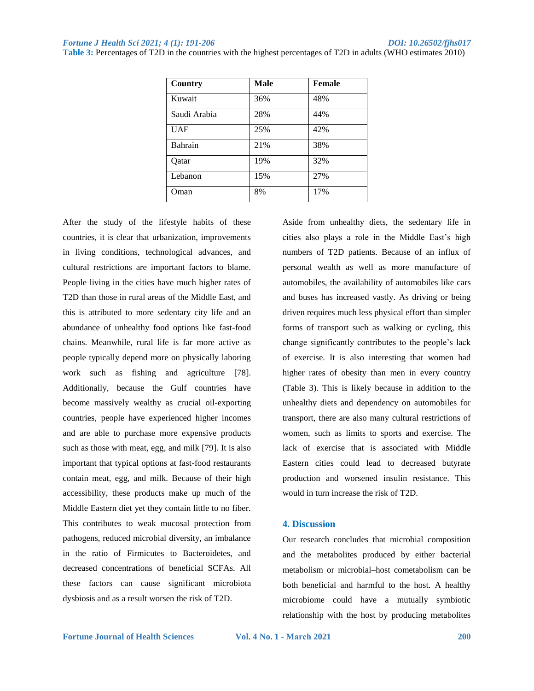| Country      | Male | Female |
|--------------|------|--------|
| Kuwait       | 36%  | 48%    |
| Saudi Arabia | 28%  | 44%    |
| <b>UAE</b>   | 25%  | 42%    |
| Bahrain      | 21%  | 38%    |
| Oatar        | 19%  | 32%    |
| Lebanon      | 15%  | 27%    |
| Oman         | 8%   | 17%    |

**Table 3:** Percentages of T2D in the countries with the highest percentages of T2D in adults (WHO estimates 2010)

After the study of the lifestyle habits of these countries, it is clear that urbanization, improvements in living conditions, technological advances, and cultural restrictions are important factors to blame. People living in the cities have much higher rates of T2D than those in rural areas of the Middle East, and this is attributed to more sedentary city life and an abundance of unhealthy food options like fast-food chains. Meanwhile, rural life is far more active as people typically depend more on physically laboring work such as fishing and agriculture [78]. Additionally, because the Gulf countries have become massively wealthy as crucial oil-exporting countries, people have experienced higher incomes and are able to purchase more expensive products such as those with meat, egg, and milk [79]. It is also important that typical options at fast-food restaurants contain meat, egg, and milk. Because of their high accessibility, these products make up much of the Middle Eastern diet yet they contain little to no fiber. This contributes to weak mucosal protection from pathogens, reduced microbial diversity, an imbalance in the ratio of Firmicutes to Bacteroidetes, and decreased concentrations of beneficial SCFAs. All these factors can cause significant microbiota dysbiosis and as a result worsen the risk of T2D.

Aside from unhealthy diets, the sedentary life in cities also plays a role in the Middle East's high numbers of T2D patients. Because of an influx of personal wealth as well as more manufacture of automobiles, the availability of automobiles like cars and buses has increased vastly. As driving or being driven requires much less physical effort than simpler forms of transport such as walking or cycling, this change significantly contributes to the people's lack of exercise. It is also interesting that women had higher rates of obesity than men in every country (Table 3). This is likely because in addition to the unhealthy diets and dependency on automobiles for transport, there are also many cultural restrictions of women, such as limits to sports and exercise. The lack of exercise that is associated with Middle Eastern cities could lead to decreased butyrate production and worsened insulin resistance. This would in turn increase the risk of T2D.

### **4. Discussion**

Our research concludes that microbial composition and the metabolites produced by either bacterial metabolism or microbial–host cometabolism can be both beneficial and harmful to the host. A healthy microbiome could have a mutually symbiotic relationship with the host by producing metabolites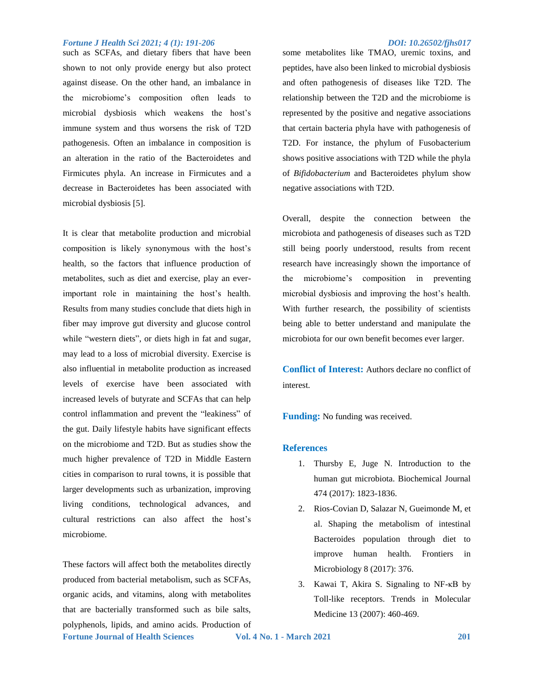such as SCFAs, and dietary fibers that have been shown to not only provide energy but also protect against disease. On the other hand, an imbalance in the microbiome's composition often leads to microbial dysbiosis which weakens the host's immune system and thus worsens the risk of T2D pathogenesis. Often an imbalance in composition is an alteration in the ratio of the Bacteroidetes and Firmicutes phyla. An increase in Firmicutes and a decrease in Bacteroidetes has been associated with microbial dysbiosis [5].

It is clear that metabolite production and microbial composition is likely synonymous with the host's health, so the factors that influence production of metabolites, such as diet and exercise, play an everimportant role in maintaining the host's health. Results from many studies conclude that diets high in fiber may improve gut diversity and glucose control while "western diets", or diets high in fat and sugar, may lead to a loss of microbial diversity. Exercise is also influential in metabolite production as increased levels of exercise have been associated with increased levels of butyrate and SCFAs that can help control inflammation and prevent the "leakiness" of the gut. Daily lifestyle habits have significant effects on the microbiome and T2D. But as studies show the much higher prevalence of T2D in Middle Eastern cities in comparison to rural towns, it is possible that larger developments such as urbanization, improving living conditions, technological advances, and cultural restrictions can also affect the host's microbiome.

**Fortune Journal of Health Sciences Vol. 4 No. 1 - March 2021 201** These factors will affect both the metabolites directly produced from bacterial metabolism, such as SCFAs, organic acids, and vitamins, along with metabolites that are bacterially transformed such as bile salts, polyphenols, lipids, and amino acids. Production of

some metabolites like TMAO, uremic toxins, and peptides, have also been linked to microbial dysbiosis and often pathogenesis of diseases like T2D. The relationship between the T2D and the microbiome is represented by the positive and negative associations that certain bacteria phyla have with pathogenesis of T2D. For instance, the phylum of Fusobacterium shows positive associations with T2D while the phyla of *Bifidobacterium* and Bacteroidetes phylum show negative associations with T2D.

Overall, despite the connection between the microbiota and pathogenesis of diseases such as T2D still being poorly understood, results from recent research have increasingly shown the importance of the microbiome's composition in preventing microbial dysbiosis and improving the host's health. With further research, the possibility of scientists being able to better understand and manipulate the microbiota for our own benefit becomes ever larger.

**Conflict of Interest:** Authors declare no conflict of interest.

**Funding:** No funding was received.

### **References**

- 1. Thursby E, Juge N. Introduction to the human gut microbiota. Biochemical Journal 474 (2017): 1823-1836.
- 2. Rios-Covian D, Salazar N, Gueimonde M, et al. Shaping the metabolism of intestinal Bacteroides population through diet to improve human health. Frontiers in Microbiology 8 (2017): 376.
- 3. Kawai T, Akira S. Signaling to NF-κB by Toll-like receptors. Trends in Molecular Medicine 13 (2007): 460-469.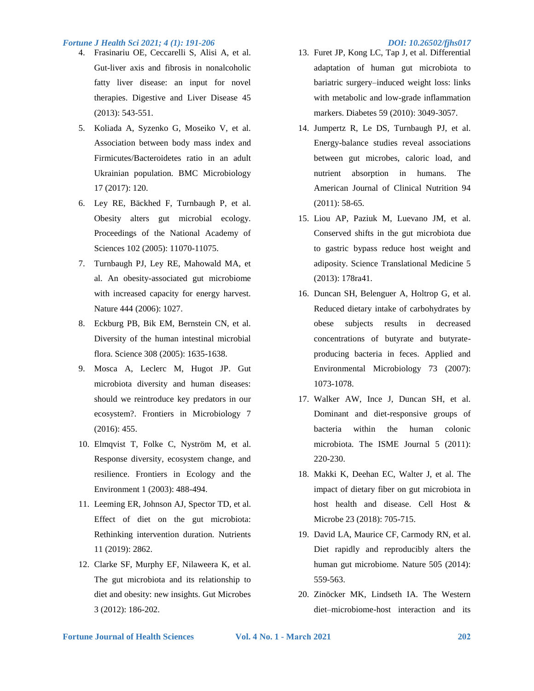- 4. Frasinariu OE, Ceccarelli S, Alisi A, et al. Gut-liver axis and fibrosis in nonalcoholic fatty liver disease: an input for novel therapies. Digestive and Liver Disease 45 (2013): 543-551.
- 5. Koliada A, Syzenko G, Moseiko V, et al. Association between body mass index and Firmicutes/Bacteroidetes ratio in an adult Ukrainian population. BMC Microbiology 17 (2017): 120.
- 6. Ley RE, Bäckhed F, Turnbaugh P, et al. Obesity alters gut microbial ecology. Proceedings of the National Academy of Sciences 102 (2005): 11070-11075.
- 7. Turnbaugh PJ, Ley RE, Mahowald MA, et al. An obesity-associated gut microbiome with increased capacity for energy harvest. Nature 444 (2006): 1027.
- 8. Eckburg PB, Bik EM, Bernstein CN, et al. Diversity of the human intestinal microbial flora. Science 308 (2005): 1635-1638.
- 9. Mosca A, Leclerc M, Hugot JP. Gut microbiota diversity and human diseases: should we reintroduce key predators in our ecosystem?. Frontiers in Microbiology 7 (2016): 455.
- 10. Elmqvist T, Folke C, Nyström M, et al. Response diversity, ecosystem change, and resilience. Frontiers in Ecology and the Environment 1 (2003): 488-494.
- 11. Leeming ER, Johnson AJ, Spector TD, et al. Effect of diet on the gut microbiota: Rethinking intervention duration. Nutrients 11 (2019): 2862.
- 12. Clarke SF, Murphy EF, Nilaweera K, et al. The gut microbiota and its relationship to diet and obesity: new insights. Gut Microbes 3 (2012): 186-202.

- 13. Furet JP, Kong LC, Tap J, et al. Differential adaptation of human gut microbiota to bariatric surgery–induced weight loss: links with metabolic and low-grade inflammation markers. Diabetes 59 (2010): 3049-3057.
- 14. Jumpertz R, Le DS, Turnbaugh PJ, et al. Energy-balance studies reveal associations between gut microbes, caloric load, and nutrient absorption in humans. The American Journal of Clinical Nutrition 94 (2011): 58-65.
- 15. Liou AP, Paziuk M, Luevano JM, et al. Conserved shifts in the gut microbiota due to gastric bypass reduce host weight and adiposity. Science Translational Medicine 5 (2013): 178ra41.
- 16. Duncan SH, Belenguer A, Holtrop G, et al. Reduced dietary intake of carbohydrates by obese subjects results in decreased concentrations of butyrate and butyrateproducing bacteria in feces. Applied and Environmental Microbiology 73 (2007): 1073-1078.
- 17. Walker AW, Ince J, Duncan SH, et al. Dominant and diet-responsive groups of bacteria within the human colonic microbiota. The ISME Journal 5 (2011): 220-230.
- 18. Makki K, Deehan EC, Walter J, et al. The impact of dietary fiber on gut microbiota in host health and disease. Cell Host & Microbe 23 (2018): 705-715.
- 19. David LA, Maurice CF, Carmody RN, et al. Diet rapidly and reproducibly alters the human gut microbiome. Nature 505 (2014): 559-563.
- 20. Zinöcker MK, Lindseth IA. The Western diet–microbiome-host interaction and its

**Fortune Journal of Health Sciences Vol. 4 No. 1 - March 2021 202**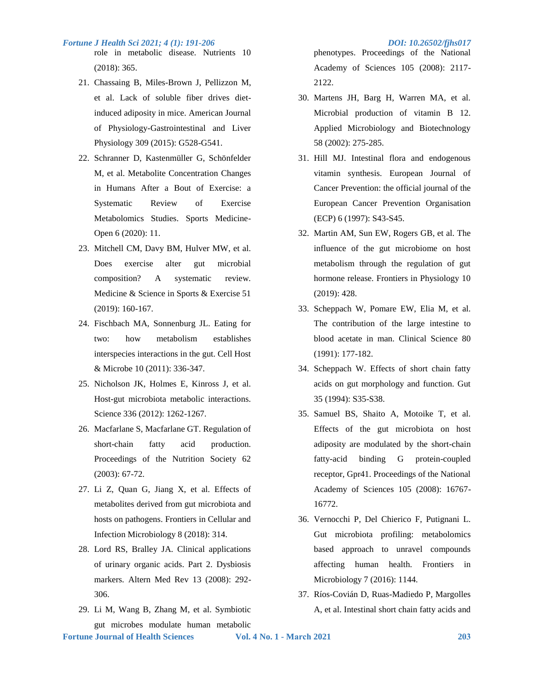role in metabolic disease. Nutrients 10 (2018): 365.

- 21. Chassaing B, Miles-Brown J, Pellizzon M, et al. Lack of soluble fiber drives dietinduced adiposity in mice. American Journal of Physiology-Gastrointestinal and Liver Physiology 309 (2015): G528-G541.
- 22. Schranner D, Kastenmüller G, Schönfelder M, et al. Metabolite Concentration Changes in Humans After a Bout of Exercise: a Systematic Review of Exercise Metabolomics Studies. Sports Medicine-Open 6 (2020): 11.
- 23. Mitchell CM, Davy BM, Hulver MW, et al. Does exercise alter gut microbial composition? A systematic review. Medicine & Science in Sports & Exercise 51 (2019): 160-167.
- 24. Fischbach MA, Sonnenburg JL. Eating for two: how metabolism establishes interspecies interactions in the gut. Cell Host & Microbe 10 (2011): 336-347.
- 25. Nicholson JK, Holmes E, Kinross J, et al. Host-gut microbiota metabolic interactions. Science 336 (2012): 1262-1267.
- 26. Macfarlane S, Macfarlane GT. Regulation of short-chain fatty acid production. Proceedings of the Nutrition Society 62 (2003): 67-72.
- 27. Li Z, Quan G, Jiang X, et al. Effects of metabolites derived from gut microbiota and hosts on pathogens. Frontiers in Cellular and Infection Microbiology 8 (2018): 314.
- 28. Lord RS, Bralley JA. Clinical applications of urinary organic acids. Part 2. Dysbiosis markers. Altern Med Rev 13 (2008): 292- 306.
- 29. Li M, Wang B, Zhang M, et al. Symbiotic gut microbes modulate human metabolic

phenotypes. Proceedings of the National Academy of Sciences 105 (2008): 2117- 2122.

- 30. Martens JH, Barg H, Warren MA, et al. Microbial production of vitamin B 12. Applied Microbiology and Biotechnology 58 (2002): 275-285.
- 31. Hill MJ. Intestinal flora and endogenous vitamin synthesis. European Journal of Cancer Prevention: the official journal of the European Cancer Prevention Organisation (ECP) 6 (1997): S43-S45.
- 32. Martin AM, Sun EW, Rogers GB, et al. The influence of the gut microbiome on host metabolism through the regulation of gut hormone release. Frontiers in Physiology 10 (2019): 428.
- 33. Scheppach W, Pomare EW, Elia M, et al. The contribution of the large intestine to blood acetate in man. Clinical Science 80 (1991): 177-182.
- 34. Scheppach W. Effects of short chain fatty acids on gut morphology and function. Gut 35 (1994): S35-S38.
- 35. Samuel BS, Shaito A, Motoike T, et al. Effects of the gut microbiota on host adiposity are modulated by the short-chain fatty-acid binding G protein-coupled receptor, Gpr41. Proceedings of the National Academy of Sciences 105 (2008): 16767- 16772.
- 36. Vernocchi P, Del Chierico F, Putignani L. Gut microbiota profiling: metabolomics based approach to unravel compounds affecting human health. Frontiers in Microbiology 7 (2016): 1144.
- 37. Ríos-Covián D, Ruas-Madiedo P, Margolles A, et al. Intestinal short chain fatty acids and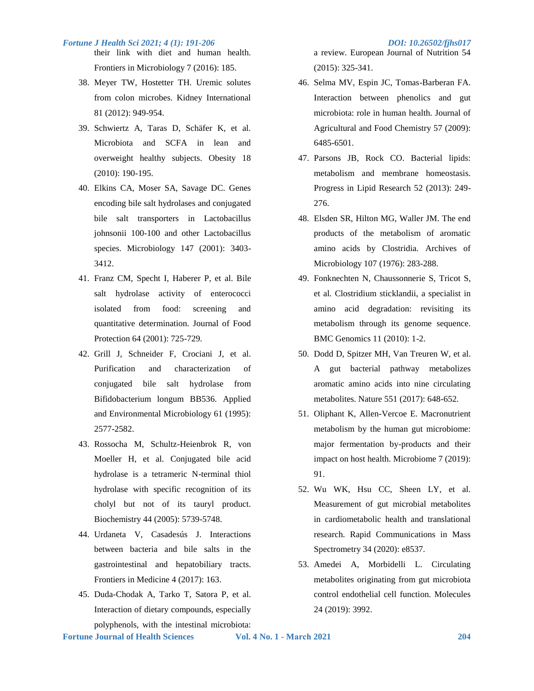- their link with diet and human health. Frontiers in Microbiology 7 (2016): 185.
	- 38. Meyer TW, Hostetter TH. Uremic solutes from colon microbes. Kidney International 81 (2012): 949-954.
	- 39. Schwiertz A, Taras D, Schäfer K, et al. Microbiota and SCFA in lean and overweight healthy subjects. Obesity 18 (2010): 190-195.
	- 40. Elkins CA, Moser SA, Savage DC. Genes encoding bile salt hydrolases and conjugated bile salt transporters in Lactobacillus johnsonii 100-100 and other Lactobacillus species. Microbiology 147 (2001): 3403- 3412.
	- 41. Franz CM, Specht I, Haberer P, et al. Bile salt hydrolase activity of enterococci isolated from food: screening and quantitative determination. Journal of Food Protection 64 (2001): 725-729.
	- 42. Grill J, Schneider F, Crociani J, et al. Purification and characterization of conjugated bile salt hydrolase from Bifidobacterium longum BB536. Applied and Environmental Microbiology 61 (1995): 2577-2582.
	- 43. Rossocha M, Schultz-Heienbrok R, von Moeller H, et al. Conjugated bile acid hydrolase is a tetrameric N-terminal thiol hydrolase with specific recognition of its cholyl but not of its tauryl product. Biochemistry 44 (2005): 5739-5748.
	- 44. Urdaneta V, Casadesús J. Interactions between bacteria and bile salts in the gastrointestinal and hepatobiliary tracts. Frontiers in Medicine 4 (2017): 163.
- 45. Duda-Chodak A, Tarko T, Satora P, et al. Interaction of dietary compounds, especially polyphenols, with the intestinal microbiota:

a review. European Journal of Nutrition 54 (2015): 325-341.

- 46. Selma MV, Espin JC, Tomas-Barberan FA. Interaction between phenolics and gut microbiota: role in human health. Journal of Agricultural and Food Chemistry 57 (2009): 6485-6501.
- 47. Parsons JB, Rock CO. Bacterial lipids: metabolism and membrane homeostasis. Progress in Lipid Research 52 (2013): 249- 276.
- 48. Elsden SR, Hilton MG, Waller JM. The end products of the metabolism of aromatic amino acids by Clostridia. Archives of Microbiology 107 (1976): 283-288.
- 49. Fonknechten N, Chaussonnerie S, Tricot S, et al. Clostridium sticklandii, a specialist in amino acid degradation: revisiting its metabolism through its genome sequence. BMC Genomics 11 (2010): 1-2.
- 50. Dodd D, Spitzer MH, Van Treuren W, et al. A gut bacterial pathway metabolizes aromatic amino acids into nine circulating metabolites. Nature 551 (2017): 648-652.
- 51. Oliphant K, Allen-Vercoe E. Macronutrient metabolism by the human gut microbiome: major fermentation by-products and their impact on host health. Microbiome 7 (2019): 91.
- 52. Wu WK, Hsu CC, Sheen LY, et al. Measurement of gut microbial metabolites in cardiometabolic health and translational research. Rapid Communications in Mass Spectrometry 34 (2020): e8537.
- 53. Amedei A, Morbidelli L. Circulating metabolites originating from gut microbiota control endothelial cell function. Molecules 24 (2019): 3992.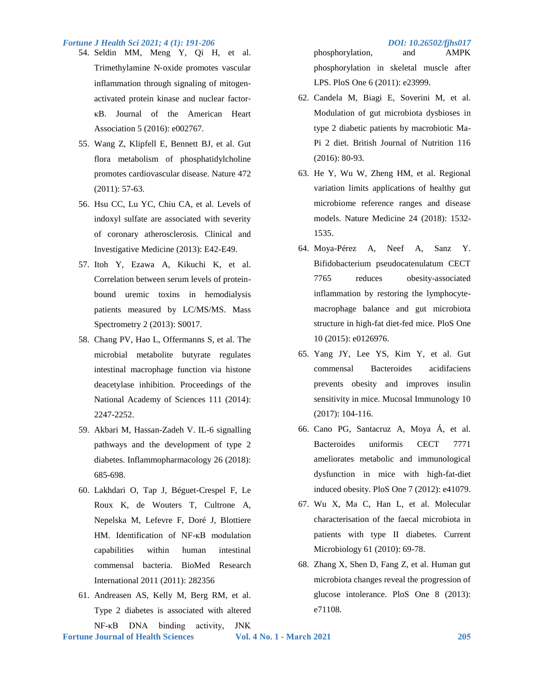- 54. Seldin MM, Meng Y, Qi H, et al. Trimethylamine N‐oxide promotes vascular inflammation through signaling of mitogenactivated protein kinase and nuclear factor‐ κB. Journal of the American Heart Association 5 (2016): e002767.
	- 55. Wang Z, Klipfell E, Bennett BJ, et al. Gut flora metabolism of phosphatidylcholine promotes cardiovascular disease. Nature 472 (2011): 57-63.
	- 56. Hsu CC, Lu YC, Chiu CA, et al. Levels of indoxyl sulfate are associated with severity of coronary atherosclerosis. Clinical and Investigative Medicine (2013): E42-E49.
	- 57. Itoh Y, Ezawa A, Kikuchi K, et al. Correlation between serum levels of proteinbound uremic toxins in hemodialysis patients measured by LC/MS/MS. Mass Spectrometry 2 (2013): S0017.
	- 58. Chang PV, Hao L, Offermanns S, et al. The microbial metabolite butyrate regulates intestinal macrophage function via histone deacetylase inhibition. Proceedings of the National Academy of Sciences 111 (2014): 2247-2252.
	- 59. Akbari M, Hassan-Zadeh V. IL-6 signalling pathways and the development of type 2 diabetes. Inflammopharmacology 26 (2018): 685-698.
	- 60. Lakhdari O, Tap J, Béguet-Crespel F, Le Roux K, de Wouters T, Cultrone A, Nepelska M, Lefevre F, Doré J, Blottiere HM. Identification of NF-κB modulation capabilities within human intestinal commensal bacteria. BioMed Research International 2011 (2011): 282356
- 61. Andreasen AS, Kelly M, Berg RM, et al. Type 2 diabetes is associated with altered NF-κB DNA binding activity, JNK

phosphorylation, and AMPK phosphorylation in skeletal muscle after LPS. PloS One 6 (2011): e23999.

- 62. Candela M, Biagi E, Soverini M, et al. Modulation of gut microbiota dysbioses in type 2 diabetic patients by macrobiotic Ma-Pi 2 diet. British Journal of Nutrition 116 (2016): 80-93.
- 63. He Y, Wu W, Zheng HM, et al. Regional variation limits applications of healthy gut microbiome reference ranges and disease models. Nature Medicine 24 (2018): 1532- 1535.
- 64. Moya-Pérez A, Neef A, Sanz Y. Bifidobacterium pseudocatenulatum CECT 7765 reduces obesity-associated inflammation by restoring the lymphocytemacrophage balance and gut microbiota structure in high-fat diet-fed mice. PloS One 10 (2015): e0126976.
- 65. Yang JY, Lee YS, Kim Y, et al. Gut commensal Bacteroides acidifaciens prevents obesity and improves insulin sensitivity in mice. Mucosal Immunology 10 (2017): 104-116.
- 66. Cano PG, Santacruz A, Moya Á, et al. Bacteroides uniformis CECT 7771 ameliorates metabolic and immunological dysfunction in mice with high-fat-diet induced obesity. PloS One 7 (2012): e41079.
- 67. Wu X, Ma C, Han L, et al. Molecular characterisation of the faecal microbiota in patients with type II diabetes. Current Microbiology 61 (2010): 69-78.
- 68. Zhang X, Shen D, Fang Z, et al. Human gut microbiota changes reveal the progression of glucose intolerance. PloS One 8 (2013): e71108.

**Fortune Journal of Health Sciences Vol. 4 No. 1 - March 2021 205**